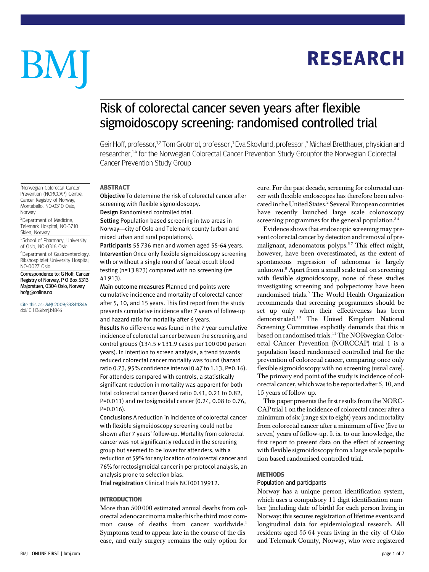# **RESEARCH** RESEARCH

# BM

# Risk of colorectal cancer seven years after flexible sigmoidoscopy screening: randomised controlled trial

Geir Hoff, professor,<sup>1,2</sup> Tom Grotmol, professor ,<sup>1</sup> Eva Skovlund, professor ,<sup>3</sup> Michael Bretthauer, physician and researcher,<sup>1,4</sup> for the Norwegian Colorectal Cancer Prevention Study Groupfor the Norwegian Colorectal Cancer Prevention Study Group

## **ABSTRACT**

-----------<br>Objective To determine the risk of colorectal cancer after screening with flexible sigmoidoscopy.

Design Randomised controlled trial.

Setting Population based screening in two areas in Norway—city of Oslo and Telemark county (urban and mixed urban and rural populations).

Participants 55 736 men and women aged 55-64 years. Intervention Once only flexible sigmoidoscopy screening with or without a single round of faecal occult blood testing (n=13 823) compared with no screening (n= 41 913).

Main outcome measures Planned end points were cumulative incidence and mortality of colorectal cancer after 5, 10, and 15 years. This first report from the study presents cumulative incidence after 7 years of follow-up and hazard ratio for mortality after 6 years. Results No difference was found in the 7 year cumulative incidence of colorectal cancer between the screening and control groups (134.5 v 131.9 cases per 100 000 person years). In intention to screen analysis, a trend towards reduced colorectal cancer mortality was found (hazard ratio 0.73, 95% confidence interval 0.47 to 1.13, P=0.16). For attenders compared with controls, a statistically significant reduction in mortality was apparent for both total colorectal cancer (hazard ratio 0.41, 0.21 to 0.82, P=0.011) and rectosigmoidal cancer (0.24, 0.08 to 0.76, P=0.016).

Conclusions A reduction in incidence of colorectal cancer with flexible sigmoidoscopy screening could not be shown after 7 years' follow-up. Mortality from colorectal cancer was not significantly reduced in the screening group but seemed to be lower for attenders, with a reduction of 59% for any location of colorectal cancer and 76% for rectosigmoidal cancer in per protocol analysis, an analysis prone to selection bias.

Trial registration Clinical trials NCT00119912.

More than 500 000 estimated annual deaths from colorectal adenocarcinoma make this the third most common cause of deaths from cancer worldwide.<sup>1</sup> Symptoms tend to appear late in the course of the disease, and early surgery remains the only option for cure. For the past decade, screening for colorectal cancer with flexible endoscopes has therefore been advocated in the United States.<sup>2</sup> Several European countries have recently launched large scale colonoscopy screening programmes for the general population. $34$ 

Evidence shows that endoscopic screening may prevent colorectal cancer by detection and removal of premalignant, adenomatous polyps.5-7 This effect might, however, have been overestimated, as the extent of spontaneous regression of adenomas is largely unknown.8 Apart from a small scale trial on screening with flexible sigmoidoscopy, none of these studies investigating screening and polypectomy have been randomised trials.<sup>9</sup> The World Health Organization recommends that screening programmes should be set up only when their effectiveness has been demonstrated.10 The United Kingdom National Screening Committee explicitly demands that this is based on randomised trials.<sup>11</sup> The NORwegian Colorectal CAncer Prevention (NORCCAP) trial 1 is a population based randomised controlled trial for the prevention of colorectal cancer, comparing once only flexible sigmoidoscopy with no screening (usual care). The primary end point of the study is incidence of colorectal cancer, which was to be reported after 5, 10, and 15 years of follow-up.

This paper presents the first results from the NORC-CAP trial 1 on the incidence of colorectal cancer after a minimum of six (range six to eight) years and mortality from colorectal cancer after a minimum of five (five to seven) years of follow-up. It is, to our knowledge, the first report to present data on the effect of screening with flexible sigmoidoscopy from a large scale population based randomised controlled trial.

#### **METHODS**

## Population and participants

Norway has a unique person identification system, which uses a compulsory 11 digit identification number (including date of birth) for each person living in Norway; this secures registration of lifetime events and longitudinal data for epidemiological research. All residents aged 55-64 years living in the city of Oslo and Telemark County, Norway, who were registered

#### <sup>1</sup>Norwegian Colorectal Cancer Prevention (NORCCAP) Centre, Cancer Registry of Norway, Montebello, NO-0310 Oslo, Norway

<sup>2</sup>Department of Medicine, Telemark Hospital, NO-3710 Skien, Norway

<sup>3</sup>School of Pharmacy, University of Oslo, NO-0316 Oslo

4 Department of Gastroenterology, Rikshospitalet University Hospital, NO-0027 Oslo

Correspondence to: G Hoff, Cancer Registry of Norway, P O Box 5313 Majorstuen, 0304 Oslo, Norway hofg@online.no

Cite this as: BMJ 2009;338:b1846 doi:10.1136/bmj.b1846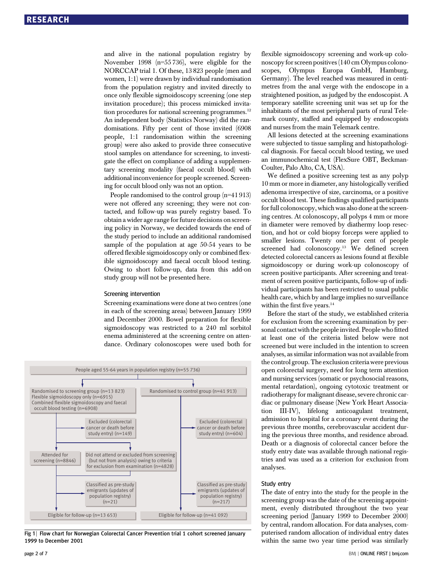and alive in the national population registry by November 1998 (n=55 736), were eligible for the NORCCAP trial 1. Of these, 13 823 people (men and women, 1:1) were drawn by individual randomisation from the population registry and invited directly to once only flexible sigmoidoscopy screening (one step invitation procedure); this process mimicked invitation procedures for national screening programmes.<sup>12</sup> An independent body (Statistics Norway) did the randomisations. Fifty per cent of those invited (6908 people, 1:1 randomisation within the screening group) were also asked to provide three consecutive stool samples on attendance for screening, to investigate the effect on compliance of adding a supplementary screening modality (faecal occult blood) with additional inconvenience for people screened. Screening for occult blood only was not an option.

People randomised to the control group (n=41 913) were not offered any screening; they were not contacted, and follow-up was purely registry based. To obtain a wider age range for future decisions on screening policy in Norway, we decided towards the end of the study period to include an additional randomised sample of the population at age 50-54 years to be offered flexible sigmoidoscopy only or combined flexible sigmoidoscopy and faecal occult blood testing. Owing to short follow-up, data from this add-on study group will not be presented here.

#### Screening intervention

Screening examinations were done at two centres (one in each of the screening areas) between January 1999 and December 2000. Bowel preparation for flexible sigmoidoscopy was restricted to a 240 ml sorbitol enema administered at the screening centre on attendance. Ordinary colonoscopes were used both for



Fig 1 | Flow chart for Norwegian Colorectal Cancer Prevention trial 1 cohort screened January 1999 to December 2001

flexible sigmoidoscopy screening and work-up colonoscopy for screen positives (140 cm Olympus colonoscopes, Olympus Europa GmbH, Hamburg, Germany). The level reached was measured in centimetres from the anal verge with the endoscope in a straightened position, as judged by the endoscopist. A temporary satellite screening unit was set up for the inhabitants of the most peripheral parts of rural Telemark county, staffed and equipped by endoscopists and nurses from the main Telemark centre.

All lesions detected at the screening examinations were subjected to tissue sampling and histopathological diagnosis. For faecal occult blood testing, we used an immunochemical test (FlexSure OBT, Beckman-Coulter, Palo Alto, CA, USA).

We defined a positive screening test as any polyp 10 mm or more in diameter, any histologically verified adenoma irrespective of size, carcinoma, or a positive occult blood test. These findings qualified participants for full colonoscopy, which was also done at the screening centres. At colonoscopy, all polyps 4 mm or more in diameter were removed by diathermy loop resection, and hot or cold biopsy forceps were applied to smaller lesions. Twenty one per cent of people screened had colonoscopy.<sup>13</sup> We defined screen detected colorectal cancers as lesions found at flexible sigmoidoscopy or during work-up colonoscopy of screen positive participants. After screening and treatment of screen positive participants, follow-up of individual participants has been restricted to usual public health care, which by and large implies no surveillance within the first five years.<sup>14</sup>

Before the start of the study, we established criteria for exclusion from the screening examination by personal contact with the people invited. People who fitted at least one of the criteria listed below were not screened but were included in the intention to screen analyses, as similar information was not available from the control group. The exclusion criteria were previous open colorectal surgery, need for long term attention and nursing services (somatic or psychosocial reasons, mental retardation), ongoing cytotoxic treatment or radiotherapy for malignant disease, severe chronic cardiac or pulmonary disease (New York Heart Association III-IV), lifelong anticoagulant treatment, admission to hospital for a coronary event during the previous three months, cerebrovascular accident during the previous three months, and residence abroad. Death or a diagnosis of colorectal cancer before the study entry date was available through national registries and was used as a criterion for exclusion from analyses.

#### Study entry

The date of entry into the study for the people in the screening group was the date of the screening appointment, evenly distributed throughout the two year screening period (January 1999 to December 2000) by central, random allocation. For data analyses, computerised random allocation of individual entry dates within the same two year time period was similarly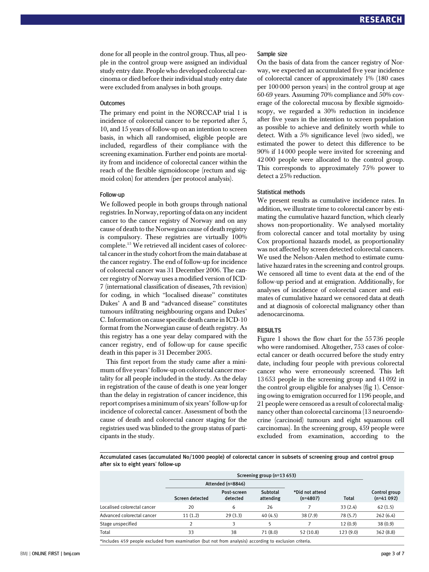done for all people in the control group. Thus, all people in the control group were assigned an individual study entry date. People who developed colorectal carcinoma or died before their individual study entry date were excluded from analyses in both groups.

#### **Outcomes**

The primary end point in the NORCCAP trial 1 is incidence of colorectal cancer to be reported after 5, 10, and 15 years of follow-up on an intention to screen basis, in which all randomised, eligible people are included, regardless of their compliance with the screening examination. Further end points are mortality from and incidence of colorectal cancer within the reach of the flexible sigmoidoscope (rectum and sigmoid colon) for attenders (per protocol analysis).

#### Follow-up

We followed people in both groups through national registries. In Norway, reporting of data on any incident cancer to the cancer registry of Norway and on any cause of death to the Norwegian cause of death registry is compulsory. These registries are virtually 100% complete.15 We retrieved all incident cases of colorectal cancer in the study cohort from the main database at the cancer registry. The end of follow-up for incidence of colorectal cancer was 31 December 2006. The cancer registry of Norway uses a modified version of ICD-7 (international classification of diseases, 7th revision) for coding, in which "localised disease" constitutes Dukes' A and B and "advanced disease" constitutes tumours infiltrating neighbouring organs and Dukes' C. Information on cause specific death came in ICD-10 format from the Norwegian cause of death registry. As this registry has a one year delay compared with the cancer registry, end of follow-up for cause specific death in this paper is 31 December 2005.

This first report from the study came after a minimum of five years' follow-up on colorectal cancer mortality for all people included in the study. As the delay in registration of the cause of death is one year longer than the delay in registration of cancer incidence, this report comprises a minimum of six years'follow-up for incidence of colorectal cancer. Assessment of both the cause of death and colorectal cancer staging for the registries used was blinded to the group status of participants in the study.

#### Sample size

On the basis of data from the cancer registry of Norway, we expected an accumulated five year incidence of colorectal cancer of approximately 1% (180 cases per 100 000 person years) in the control group at age 60-69 years. Assuming 70% compliance and 50% coverage of the colorectal mucosa by flexible sigmoidoscopy, we regarded a 30% reduction in incidence after five years in the intention to screen population as possible to achieve and definitely worth while to detect. With a 5% significance level (two sided), we estimated the power to detect this difference to be 90% if 14 000 people were invited for screening and 42 000 people were allocated to the control group. This corresponds to approximately 75% power to detect a 25% reduction.

#### Statistical methods

We present results as cumulative incidence rates. In addition, we illustrate time to colorectal cancer by estimating the cumulative hazard function, which clearly shows non-proportionality. We analysed mortality from colorectal cancer and total mortality by using Cox proportional hazards model, as proportionality was not affected by screen detected colorectal cancers. We used the Nelson-Aalen method to estimate cumulative hazard rates in the screening and control groups. We censored all time to event data at the end of the follow-up period and at emigration. Additionally, for analyses of incidence of colorectal cancer and estimates of cumulative hazard we censored data at death and at diagnosis of colorectal malignancy other than adenocarcinoma.

#### **RESULTS**

Figure 1 shows the flow chart for the 55 736 people who were randomised. Altogether, 753 cases of colorectal cancer or death occurred before the study entry date, including four people with previous colorectal cancer who were erroneously screened. This left 13 653 people in the screening group and 41 092 in the control group eligible for analyses (fig 1). Censoring owing to emigration occurred for 1196 people, and 21 people were censored as a result of colorectal malignancy other than colorectal carcinoma (13 neuroendocrine (carcinoid) tumours and eight squamous cell carcinomas). In the screening group, 459 people were excluded from examination, according to the

Accumulated cases (accumulated No/1000 people) of colorectal cancer in subsets of screening group and control group after six to eight years' follow-up

|                             | Screening group (n=13 653) |                         |                       |                               |              |                              |
|-----------------------------|----------------------------|-------------------------|-----------------------|-------------------------------|--------------|------------------------------|
|                             | Attended (n=8846)          |                         |                       |                               |              |                              |
|                             | Screen detected            | Post-screen<br>detected | Subtotal<br>attending | *Did not attend<br>$(n=4807)$ | <b>Total</b> | Control group<br>$(n=41092)$ |
| Localised colorectal cancer | 20                         | 6                       | 26                    |                               | 33(2.4)      | 62(1.5)                      |
| Advanced colorectal cancer  | 11(1.2)                    | 29(3.3)                 | 40(4.5)               | 38(7.9)                       | 78 (5.7)     | 262(6.4)                     |
| Stage unspecified           | C                          | 3                       |                       |                               | 12(0.9)      | 38(0.9)                      |
| Total                       | 33                         | 38                      | 71(8.0)               | 52(10.8)                      | 123(9.0)     | 362(8.8)                     |

\*Includes 459 people excluded from examination (but not from analysis) according to exclusion criteria.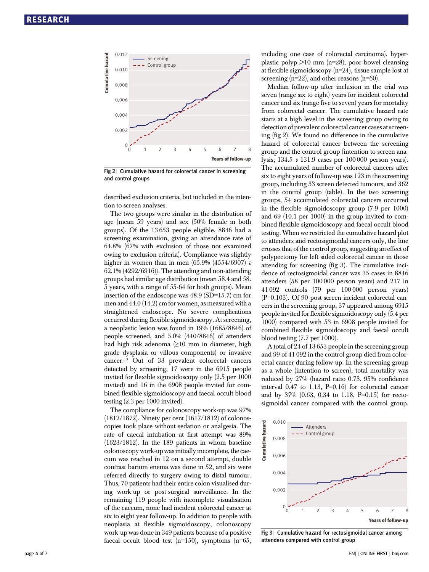

Fig 2 | Cumulative hazard for colorectal cancer in screening and control groups

described exclusion criteria, but included in the intention to screen analyses.

The two groups were similar in the distribution of age (mean 59 years) and sex (50% female in both groups). Of the 13 653 people eligible, 8846 had a screening examination, giving an attendance rate of 64.8% (67% with exclusion of those not examined owing to exclusion criteria). Compliance was slightly higher in women than in men  $(65.9\% (4554/6907) v$ 62.1% (4292/6916)). The attending and non-attending groups had similar age distribution (mean 58.4 and 58. 5 years, with a range of 55-64 for both groups). Mean insertion of the endoscope was 48.9 (SD=15.7) cm for men and 44.0 (14.2) cm for women, as measured with a straightened endoscope. No severe complications occurred during flexible sigmoidoscopy. At screening, a neoplastic lesion was found in 19% (1685/8846) of people screened, and 5.0% (440/8846) of attenders had high risk adenoma  $(≥10$  mm in diameter, high grade dysplasia or villous components) or invasive cancer.13 Out of 33 prevalent colorectal cancers detected by screening, 17 were in the 6915 people invited for flexible sigmoidoscopy only (2.5 per 1000 invited) and 16 in the 6908 people invited for combined flexible sigmoidoscopy and faecal occult blood testing (2.3 per 1000 invited).

The compliance for colonoscopy work-up was 97% (1812/1872). Ninety per cent (1617/1812) of colonoscopies took place without sedation or analgesia. The rate of caecal intubation at first attempt was 89% (1623/1812). In the 189 patients in whom baseline colonoscopy work-up was initially incomplete, the caecum was reached in 12 on a second attempt, double contrast barium enema was done in 52, and six were referred directly to surgery owing to distal tumour. Thus, 70 patients had their entire colon visualised during work-up or post-surgical surveillance. In the remaining 119 people with incomplete visualisation of the caecum, none had incident colorectal cancer at six to eight year follow-up. In addition to people with neoplasia at flexible sigmoidoscopy, colonoscopy work-up was done in 349 patients because of a positive faecal occult blood test  $(n=150)$ , symptoms  $(n=65)$ ,

including one case of colorectal carcinoma), hyperplastic polyp  $>10$  mm (n=28), poor bowel cleansing at flexible sigmoidoscopy (n=24), tissue sample lost at screening  $(n=22)$ , and other reasons  $(n=60)$ .

Median follow-up after inclusion in the trial was seven (range six to eight) years for incident colorectal cancer and six (range five to seven) years for mortality from colorectal cancer. The cumulative hazard rate starts at a high level in the screening group owing to detection of prevalent colorectal cancer cases at screening (fig 2). We found no difference in the cumulative hazard of colorectal cancer between the screening group and the control group (intention to screen analysis; 134.5 v 131.9 cases per 100 000 person years). The accumulated number of colorectal cancers after six to eight years of follow-up was 123 in the screening group, including 33 screen detected tumours, and 362 in the control group (table). In the two screening groups, 54 accumulated colorectal cancers occurred in the flexible sigmoidoscopy group (7.9 per 1000) and 69 (10.1 per 1000) in the group invited to combined flexible sigmoidoscopy and faecal occult blood testing. When we restricted the cumulative hazard plot to attenders and rectosigmoidal cancers only, the line crosses that of the control group, suggesting an effect of polypectomy for left sided colorectal cancer in those attending for screening (fig 3). The cumulative incidence of rectosigmoidal cancer was 35 cases in 8846 attenders (58 per 100 000 person years) and 217 in 41 092 controls (79 per 100 000 person years) (P=0.103). Of 90 post-screen incident colorectal cancers in the screening group, 37 appeared among 6915 people invited for flexible sigmoidoscopy only (5.4 per 1000) compared with 53 in 6908 people invited for combined flexible sigmoidoscopy and faecal occult blood testing (7.7 per 1000).

A total of 24 of 13 653 people in the screening group and 99 of 41 092 in the control group died from colorectal cancer during follow-up. In the screening group as a whole (intention to screen), total mortality was reduced by 27% (hazard ratio 0.73, 95% confidence interval  $0.47$  to  $1.13$ ,  $P=0.16$  for colorectal cancer and by 37% (0.63, 0.34 to 1.18, P=0.15) for rectosigmoidal cancer compared with the control group.



Fig 3 | Cumulative hazard for rectosigmoidal cancer among attenders compared with control group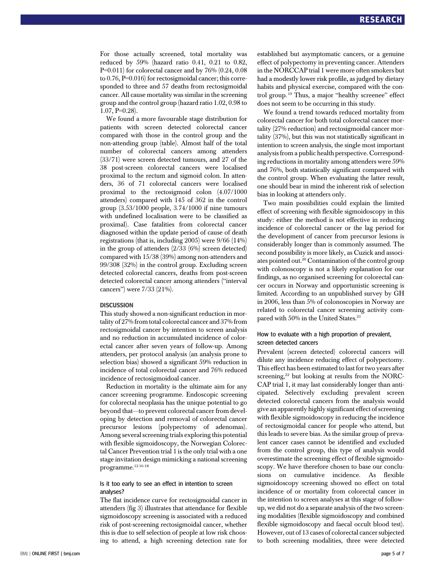For those actually screened, total mortality was reduced by 59% (hazard ratio 0.41, 0.21 to 0.82, P=0.011) for colorectal cancer and by 76% (0.24, 0.08 to 0.76, P=0.016) for rectosigmoidal cancer; this corresponded to three and 57 deaths from rectosigmoidal cancer. All cause mortality was similar in the screening group and the control group (hazard ratio 1.02, 0.98 to  $1.07, P=0.28$ .

We found a more favourable stage distribution for patients with screen detected colorectal cancer compared with those in the control group and the non-attending group (table). Almost half of the total number of colorectal cancers among attenders (33/71) were screen detected tumours, and 27 of the 38 post-screen colorectal cancers were localised proximal to the rectum and sigmoid colon. In attenders, 36 of 71 colorectal cancers were localised proximal to the rectosigmoid colon (4.07/1000 attenders) compared with 145 of 362 in the control group (3.53/1000 people, 3.74/1000 if nine tumours with undefined localisation were to be classified as proximal). Case fatalities from colorectal cancer diagnosed within the update period of cause of death registrations (that is, including 2005) were 9/66 (14%) in the group of attenders (2/33 (6%) screen detected) compared with 15/38 (39%) among non-attenders and 99/308 (32%) in the control group. Excluding screen detected colorectal cancers, deaths from post-screen detected colorectal cancer among attenders ("interval cancers") were 7/33 (21%).

#### **DISCUSSION**

This study showed a non-significant reduction in mortality of 27% from total colorectal cancer and 37% from rectosigmoidal cancer by intention to screen analysis and no reduction in accumulated incidence of colorectal cancer after seven years of follow-up. Among attenders, per protocol analysis (an analysis prone to selection bias) showed a significant 59% reduction in incidence of total colorectal cancer and 76% reduced incidence of rectosigmoidoal cancer.

Reduction in mortality is the ultimate aim for any cancer screening programme. Endoscopic screening for colorectal neoplasia has the unique potential to go beyond that—to prevent colorectal cancer from developing by detection and removal of colorectal cancer precursor lesions (polypectomy of adenomas). Among several screening trials exploring this potential with flexible sigmoidoscopy, the Norwegian Colorectal Cancer Prevention trial 1 is the only trial with a one stage invitation design mimicking a national screening programme.12 16-18

#### Is it too early to see an effect in intention to screen analyses?

The flat incidence curve for rectosigmoidal cancer in attenders (fig 3) illustrates that attendance for flexible sigmoidoscopy screening is associated with a reduced risk of post-screening rectosigmoidal cancer, whether this is due to self selection of people at low risk choosing to attend, a high screening detection rate for established but asymptomatic cancers, or a genuine effect of polypectomy in preventing cancer. Attenders in the NORCCAP trial 1 were more often smokers but had a modestly lower risk profile, as judged by dietary habits and physical exercise, compared with the control group. <sup>19</sup> Thus, a major "healthy screenee" effect does not seem to be occurring in this study.

We found a trend towards reduced mortality from colorectal cancer for both total colorectal cancer mortality (27% reduction) and rectosigmoidal cancer mortality (37%), but this was not statistically significant in intention to screen analysis, the single most important analysis from a public health perspective. Corresponding reductions in mortality among attenders were 59% and 76%, both statistically significant compared with the control group. When evaluating the latter result, one should bear in mind the inherent risk of selection bias in looking at attenders only.

Two main possibilities could explain the limited effect of screening with flexible sigmoidoscopy in this study: either the method is not effective in reducing incidence of colorectal cancer or the lag period for the development of cancer from precursor lesions is considerably longer than is commonly assumed. The second possibility is more likely, as Cuzick and associates pointed out.20 Contamination of the control group with colonoscopy is not a likely explanation for our findings, as no organised screening for colorectal cancer occurs in Norway and opportunistic screening is limited. According to an unpublished survey by GH in 2006, less than 5% of colonoscopies in Norway are related to colorectal cancer screening activity compared with 50% in the United States.<sup>21</sup>

#### How to evaluate with a high proportion of prevalent, screen detected cancers

Prevalent (screen detected) colorectal cancers will dilute any incidence reducing effect of polypectomy. This effect has been estimated to last for two years after screening, $22$  but looking at results from the NORC-CAP trial 1, it may last considerably longer than anticipated. Selectively excluding prevalent screen detected colorectal cancers from the analysis would give an apparently highly significant effect of screening with flexible sigmoidoscopy in reducing the incidence of rectosigmoidal cancer for people who attend, but this leads to severe bias. As the similar group of prevalent cancer cases cannot be identified and excluded from the control group, this type of analysis would overestimate the screening effect of flexible sigmoidoscopy. We have therefore chosen to base our conclusions on cumulative incidence. As flexible sigmoidoscopy screening showed no effect on total incidence of or mortality from colorectal cancer in the intention to screen analyses at this stage of followup, we did not do a separate analysis of the two screening modalities (flexible sigmoidoscopy and combined flexible sigmoidoscopy and faecal occult blood test). However, out of 13 cases of colorectal cancer subjected to both screening modalities, three were detected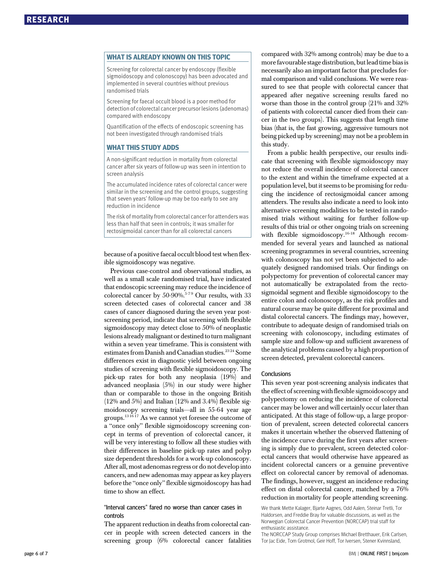what Islam<br>Screening for colorectal cancer by endoscopy (flexible sigmoidoscopy and colonoscopy) has been advocated and implemented in several countries without previous randomised trials

Screening for faecal occult blood is a poor method for detection of colorectal cancer precursor lesions (adenomas) compared with endoscopy

Quantification of the effects of endoscopic screening has not been investigated through randomised trials

—<br>A non-significant reduction in mortality from colorectal cancer after six years of follow-up was seen in intention to screen analysis

The accumulated incidence rates of colorectal cancer were similar in the screening and the control groups, suggesting that seven years' follow-up may be too early to see any reduction in incidence

The risk of mortality from colorectal cancer for attenders was less than half that seen in controls; it was smaller for rectosigmoidal cancer than for all colorectal cancers

because of a positive faecal occult blood test when flexible sigmoidoscopy was negative.

Previous case-control and observational studies, as well as a small scale randomised trial, have indicated that endoscopic screening may reduce the incidence of colorectal cancer by 50-90%.<sup>5-79</sup> Our results, with 33 screen detected cases of colorectal cancer and 38 cases of cancer diagnosed during the seven year postscreening period, indicate that screening with flexible sigmoidoscopy may detect close to 50% of neoplastic lesions already malignant or destined to turn malignant within a seven year timeframe. This is consistent with estimates from Danish and Canadian studies.<sup>2324</sup> Some differences exist in diagnostic yield between ongoing studies of screening with flexible sigmoidoscopy. The pick-up rates for both any neoplasia (19%) and advanced neoplasia (5%) in our study were higher than or comparable to those in the ongoing British (12% and 5%) and Italian (12% and 3.4%) flexible sigmoidoscopy screening trials—all in 55-64 year age groups.<sup>13 1617</sup> As we cannot yet foresee the outcome of a "once only" flexible sigmoidoscopy screening concept in terms of prevention of colorectal cancer, it will be very interesting to follow all these studies with their differences in baseline pick-up rates and polyp size dependent thresholds for a work-up colonoscopy. After all, most adenomas regress or do not develop into cancers, and new adenomas may appear as key players before the "once only" flexible sigmoidoscopy has had time to show an effect.

"Interval cancers" fared no worse than cancer cases in controls

The apparent reduction in deaths from colorectal cancer in people with screen detected cancers in the screening group (6% colorectal cancer fatalities compared with 32% among controls) may be due to a more favourable stage distribution, but lead time bias is necessarily also an important factor that precludes formal comparison and valid conclusions. We were reassured to see that people with colorectal cancer that appeared after negative screening results fared no worse than those in the control group (21% and 32% of patients with colorectal cancer died from their cancer in the two groups). This suggests that length time bias (that is, the fast growing, aggressive tumours not being picked up by screening) may not be a problem in this study.

From a public health perspective, our results indicate that screening with flexible sigmoidoscopy may not reduce the overall incidence of colorectal cancer to the extent and within the timeframe expected at a population level, but it seems to be promising for reducing the incidence of rectosigmoidal cancer among attenders. The results also indicate a need to look into alternative screening modalities to be tested in randomised trials without waiting for further follow-up results of this trial or other ongoing trials on screening with flexible sigmoidoscopy.<sup>16-18</sup> Although recommended for several years and launched as national screening programmes in several countries, screening with colonoscopy has not yet been subjected to adequately designed randomised trials. Our findings on polypectomy for prevention of colorectal cancer may not automatically be extrapolated from the rectosigmoidal segment and flexible sigmoidoscopy to the entire colon and colonoscopy, as the risk profiles and natural course may be quite different for proximal and distal colorectal cancers. The findings may, however, contribute to adequate design of randomised trials on screening with colonoscopy, including estimates of sample size and follow-up and sufficient awareness of the analytical problems caused by a high proportion of screen detected, prevalent colorectal cancers.

### **Conclusions**

This seven year post-screening analysis indicates that the effect of screening with flexible sigmoidoscopy and polypectomy on reducing the incidence of colorectal cancer may be lower and will certainly occur later than anticipated. At this stage of follow-up, a large proportion of prevalent, screen detected colorectal cancers makes it uncertain whether the observed flattening of the incidence curve during the first years after screening is simply due to prevalent, screen detected colorectal cancers that would otherwise have appeared as incident colorectal cancers or a genuine preventive effect on colorectal cancer by removal of adenomas. The findings, however, suggest an incidence reducing effect on distal colorectal cancer, matched by a 76% reduction in mortality for people attending screening.

We thank Mette Kalager, Bjarte Aagnes, Odd Aalen, Steinar Tretli, Tor Haldorsen, and Freddie Bray for valuable discussions, as well as the Norwegian Colorectal Cancer Prevention (NORCCAP) trial staff for enthusiastic assistance.

The NORCCAP Study Group comprises Michael Bretthauer, Erik Carlsen, Tor Jac Eide, Tom Grotmol, Geir Hoff, Tor Iversen, Stener Kvinnsland,